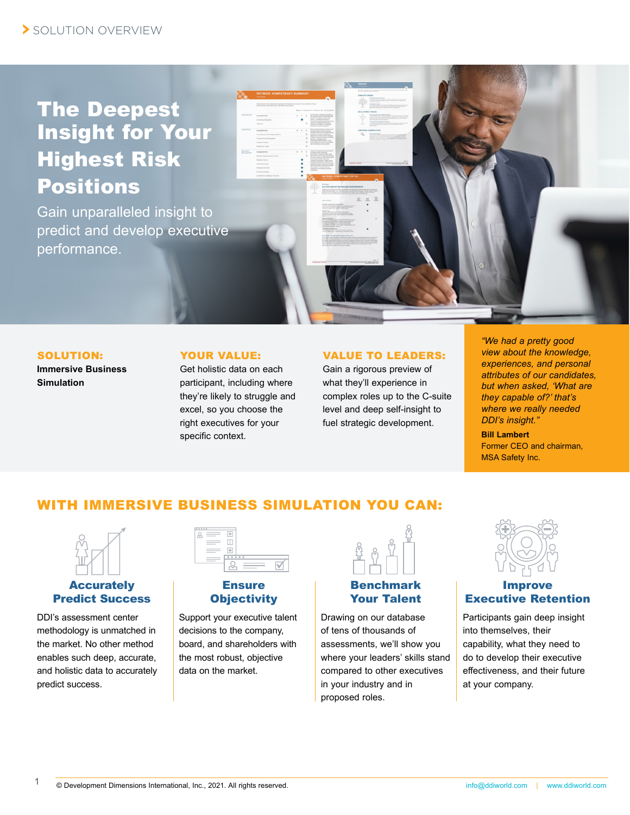# The Deepest Insight for Your Highest Risk Positions

Gain unparalleled insight to predict and develop executive performance.

#### SOLUTION:

**Immersive Business Simulation**

### YOUR VALUE:

Get holistic data on each participant, including where they're likely to struggle and excel, so you choose the right executives for your specific context.

#### VALUE TO LEADERS:

Gain a rigorous preview of what they'll experience in complex roles up to the C-suite level and deep self-insight to fuel strategic development.

*"We had a pretty good view about the knowledge, experiences, and personal attributes of our candidates, but when asked, 'What are they capable of?' that's where we really needed DDI's insight."*

**Bill Lambert** Former CEO and chairman, MSA Safety Inc.

# WITH IMMERSIVE BUSINESS SIMULATION YOU CAN:



# **Accurately** Predict Success

DDI's assessment center methodology is unmatched in the market. No other method enables such deep, accurate, and holistic data to accurately predict success.

| 989988<br>옵<br>$\frac{1}{2}$<br>____<br>$\equiv$ | Į<br>÷ |  |
|--------------------------------------------------|--------|--|
| ___                                              | *****  |  |

# **Ensure Objectivity**

Support your executive talent decisions to the company, board, and shareholders with the most robust, objective data on the market.

# Benchmark Your Talent

Drawing on our database of tens of thousands of assessments, we'll show you where your leaders' skills stand compared to other executives in your industry and in proposed roles.



### Improve Executive Retention

Participants gain deep insight into themselves, their capability, what they need to do to develop their executive effectiveness, and their future at your company.